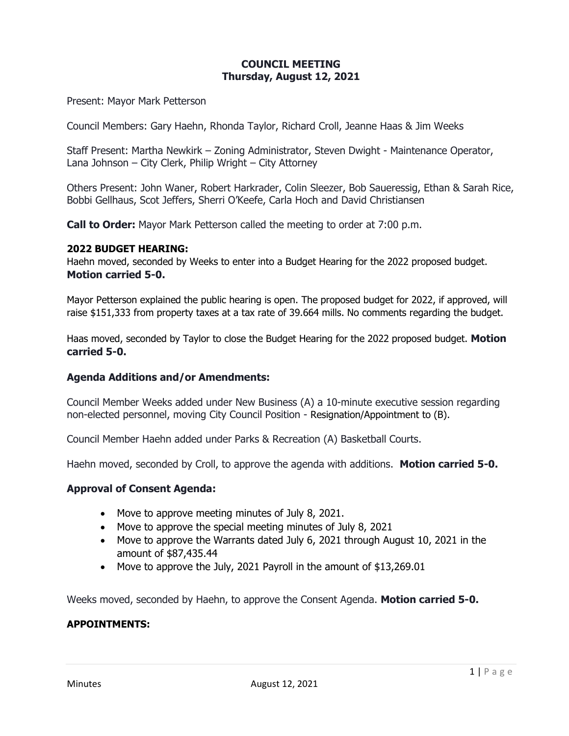## **COUNCIL MEETING Thursday, August 12, 2021**

Present: Mayor Mark Petterson

Council Members: Gary Haehn, Rhonda Taylor, Richard Croll, Jeanne Haas & Jim Weeks

Staff Present: Martha Newkirk – Zoning Administrator, Steven Dwight - Maintenance Operator, Lana Johnson – City Clerk, Philip Wright – City Attorney

Others Present: John Waner, Robert Harkrader, Colin Sleezer, Bob Saueressig, Ethan & Sarah Rice, Bobbi Gellhaus, Scot Jeffers, Sherri O'Keefe, Carla Hoch and David Christiansen

**Call to Order:** Mayor Mark Petterson called the meeting to order at 7:00 p.m.

#### **2022 BUDGET HEARING:**

Haehn moved, seconded by Weeks to enter into a Budget Hearing for the 2022 proposed budget. **Motion carried 5-0.**

Mayor Petterson explained the public hearing is open. The proposed budget for 2022, if approved, will raise \$151,333 from property taxes at a tax rate of 39.664 mills. No comments regarding the budget.

Haas moved, seconded by Taylor to close the Budget Hearing for the 2022 proposed budget. **Motion carried 5-0.**

#### **Agenda Additions and/or Amendments:**

Council Member Weeks added under New Business (A) a 10-minute executive session regarding non-elected personnel, moving City Council Position - Resignation/Appointment to (B).

Council Member Haehn added under Parks & Recreation (A) Basketball Courts.

Haehn moved, seconded by Croll, to approve the agenda with additions. **Motion carried 5-0.**

#### **Approval of Consent Agenda:**

- Move to approve meeting minutes of July 8, 2021.
- Move to approve the special meeting minutes of July 8, 2021
- Move to approve the Warrants dated July 6, 2021 through August 10, 2021 in the amount of \$87,435.44
- Move to approve the July, 2021 Payroll in the amount of \$13,269.01

Weeks moved, seconded by Haehn, to approve the Consent Agenda. **Motion carried 5-0.**

#### **APPOINTMENTS:**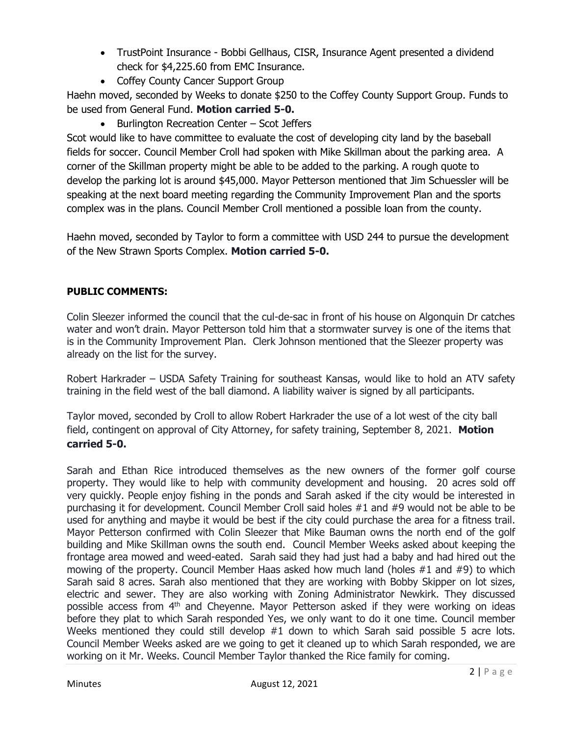- TrustPoint Insurance Bobbi Gellhaus, CISR, Insurance Agent presented a dividend check for \$4,225.60 from EMC Insurance.
- Coffey County Cancer Support Group

Haehn moved, seconded by Weeks to donate \$250 to the Coffey County Support Group. Funds to be used from General Fund. **Motion carried 5-0.**

• Burlington Recreation Center – Scot Jeffers

Scot would like to have committee to evaluate the cost of developing city land by the baseball fields for soccer. Council Member Croll had spoken with Mike Skillman about the parking area. A corner of the Skillman property might be able to be added to the parking. A rough quote to develop the parking lot is around \$45,000. Mayor Petterson mentioned that Jim Schuessler will be speaking at the next board meeting regarding the Community Improvement Plan and the sports complex was in the plans. Council Member Croll mentioned a possible loan from the county.

Haehn moved, seconded by Taylor to form a committee with USD 244 to pursue the development of the New Strawn Sports Complex. **Motion carried 5-0.**

# **PUBLIC COMMENTS:**

Colin Sleezer informed the council that the cul-de-sac in front of his house on Algonquin Dr catches water and won't drain. Mayor Petterson told him that a stormwater survey is one of the items that is in the Community Improvement Plan. Clerk Johnson mentioned that the Sleezer property was already on the list for the survey.

Robert Harkrader – USDA Safety Training for southeast Kansas, would like to hold an ATV safety training in the field west of the ball diamond. A liability waiver is signed by all participants.

Taylor moved, seconded by Croll to allow Robert Harkrader the use of a lot west of the city ball field, contingent on approval of City Attorney, for safety training, September 8, 2021. **Motion carried 5-0.**

Sarah and Ethan Rice introduced themselves as the new owners of the former golf course property. They would like to help with community development and housing. 20 acres sold off very quickly. People enjoy fishing in the ponds and Sarah asked if the city would be interested in purchasing it for development. Council Member Croll said holes #1 and #9 would not be able to be used for anything and maybe it would be best if the city could purchase the area for a fitness trail. Mayor Petterson confirmed with Colin Sleezer that Mike Bauman owns the north end of the golf building and Mike Skillman owns the south end. Council Member Weeks asked about keeping the frontage area mowed and weed-eated. Sarah said they had just had a baby and had hired out the mowing of the property. Council Member Haas asked how much land (holes  $#1$  and  $#9$ ) to which Sarah said 8 acres. Sarah also mentioned that they are working with Bobby Skipper on lot sizes, electric and sewer. They are also working with Zoning Administrator Newkirk. They discussed possible access from  $4<sup>th</sup>$  and Cheyenne. Mayor Petterson asked if they were working on ideas before they plat to which Sarah responded Yes, we only want to do it one time. Council member Weeks mentioned they could still develop #1 down to which Sarah said possible 5 acre lots. Council Member Weeks asked are we going to get it cleaned up to which Sarah responded, we are working on it Mr. Weeks. Council Member Taylor thanked the Rice family for coming.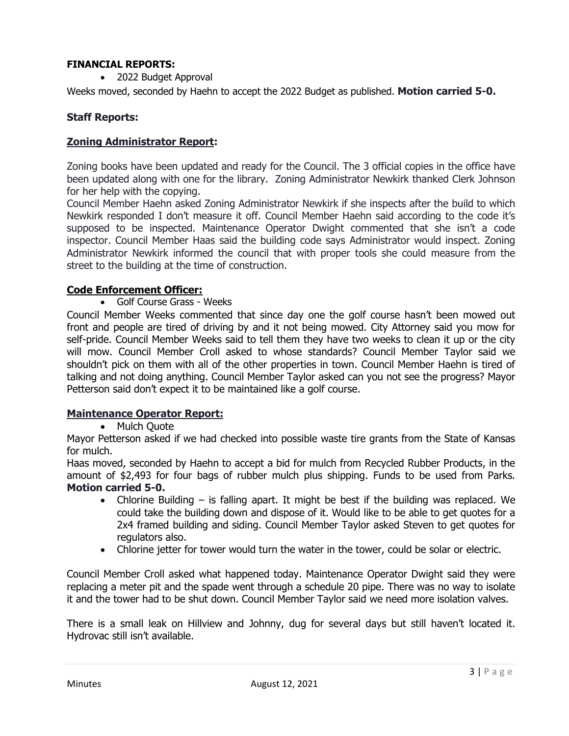## **FINANCIAL REPORTS:**

• 2022 Budget Approval

Weeks moved, seconded by Haehn to accept the 2022 Budget as published. **Motion carried 5-0.**

## **Staff Reports:**

### **Zoning Administrator Report:**

Zoning books have been updated and ready for the Council. The 3 official copies in the office have been updated along with one for the library. Zoning Administrator Newkirk thanked Clerk Johnson for her help with the copying.

Council Member Haehn asked Zoning Administrator Newkirk if she inspects after the build to which Newkirk responded I don't measure it off. Council Member Haehn said according to the code it's supposed to be inspected. Maintenance Operator Dwight commented that she isn't a code inspector. Council Member Haas said the building code says Administrator would inspect. Zoning Administrator Newkirk informed the council that with proper tools she could measure from the street to the building at the time of construction.

### **Code Enforcement Officer:**

• Golf Course Grass - Weeks

Council Member Weeks commented that since day one the golf course hasn't been mowed out front and people are tired of driving by and it not being mowed. City Attorney said you mow for self-pride. Council Member Weeks said to tell them they have two weeks to clean it up or the city will mow. Council Member Croll asked to whose standards? Council Member Taylor said we shouldn't pick on them with all of the other properties in town. Council Member Haehn is tired of talking and not doing anything. Council Member Taylor asked can you not see the progress? Mayor Petterson said don't expect it to be maintained like a golf course.

## **Maintenance Operator Report:**

#### • Mulch Quote

Mayor Petterson asked if we had checked into possible waste tire grants from the State of Kansas for mulch.

Haas moved, seconded by Haehn to accept a bid for mulch from Recycled Rubber Products, in the amount of \$2,493 for four bags of rubber mulch plus shipping. Funds to be used from Parks. **Motion carried 5-0.**

- Chlorine Building is falling apart. It might be best if the building was replaced. We could take the building down and dispose of it. Would like to be able to get quotes for a 2x4 framed building and siding. Council Member Taylor asked Steven to get quotes for regulators also.
- Chlorine jetter for tower would turn the water in the tower, could be solar or electric.

Council Member Croll asked what happened today. Maintenance Operator Dwight said they were replacing a meter pit and the spade went through a schedule 20 pipe. There was no way to isolate it and the tower had to be shut down. Council Member Taylor said we need more isolation valves.

There is a small leak on Hillview and Johnny, dug for several days but still haven't located it. Hydrovac still isn't available.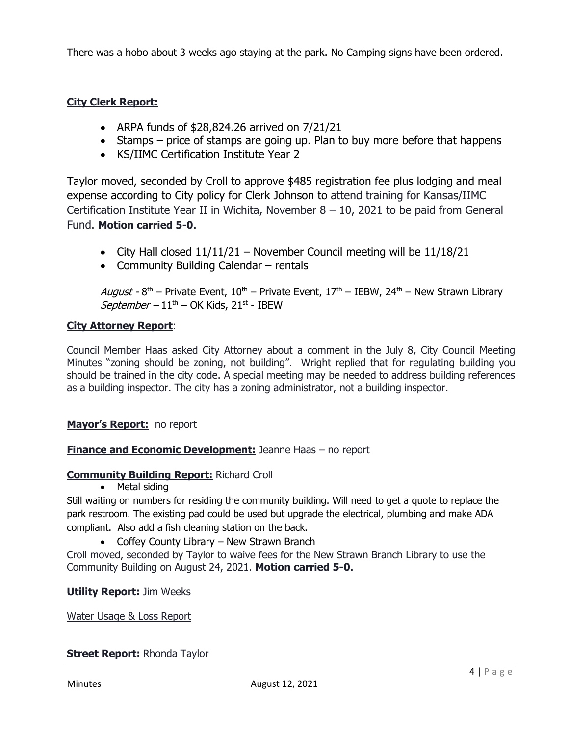There was a hobo about 3 weeks ago staying at the park. No Camping signs have been ordered.

# **City Clerk Report:**

- ARPA funds of  $$28,824.26$  arrived on  $7/21/21$
- Stamps price of stamps are going up. Plan to buy more before that happens
- KS/IIMC Certification Institute Year 2

Taylor moved, seconded by Croll to approve \$485 registration fee plus lodging and meal expense according to City policy for Clerk Johnson to attend training for Kansas/IIMC Certification Institute Year II in Wichita, November  $8 - 10$ , 2021 to be paid from General Fund. **Motion carried 5-0.**

- City Hall closed  $11/11/21$  November Council meeting will be  $11/18/21$
- Community Building Calendar rentals

August - 8<sup>th</sup> – Private Event, 10<sup>th</sup> – Private Event, 17<sup>th</sup> – IEBW, 24<sup>th</sup> – New Strawn Library September –  $11<sup>th</sup>$  – OK Kids,  $21<sup>st</sup>$  - IBEW

### **City Attorney Report**:

Council Member Haas asked City Attorney about a comment in the July 8, City Council Meeting Minutes "zoning should be zoning, not building". Wright replied that for regulating building you should be trained in the city code. A special meeting may be needed to address building references as a building inspector. The city has a zoning administrator, not a building inspector.

## **Mayor's Report:** no report

## **Finance and Economic Development:** Jeanne Haas – no report

#### **Community Building Report:** Richard Croll

• Metal siding

Still waiting on numbers for residing the community building. Will need to get a quote to replace the park restroom. The existing pad could be used but upgrade the electrical, plumbing and make ADA compliant. Also add a fish cleaning station on the back.

• Coffey County Library – New Strawn Branch

Croll moved, seconded by Taylor to waive fees for the New Strawn Branch Library to use the Community Building on August 24, 2021. **Motion carried 5-0.**

#### **Utility Report:** Jim Weeks

Water Usage & Loss Report

#### **Street Report: Rhonda Taylor**